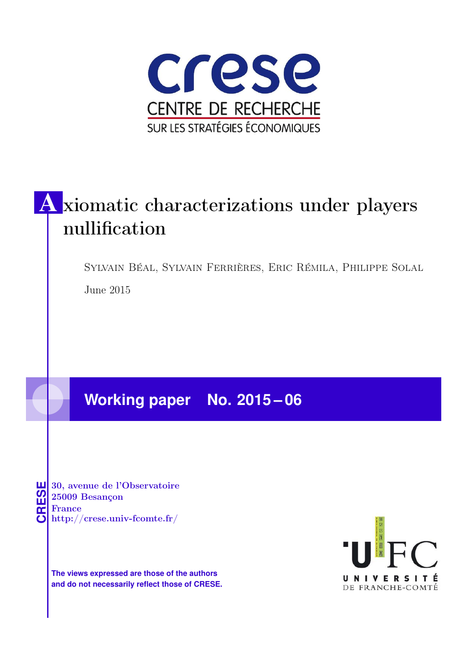

# A xiomatic characterizations under players nullification

Sylvain Béal, Sylvain Ferrières, Eric Rémila, Philippe Solal June 2015

## **Working paper No. 2015 – 06**

**CRESE 30, avenue de l'Observatoire<br>
25009 Besançon<br>
France<br>
<b>CRESE de l'Observatoire**<br>
Http://crese.univ-fcomte.fr/ 25009 Besançon France

**The views expressed are those of the authors and do not necessarily reflect those of CRESE.**

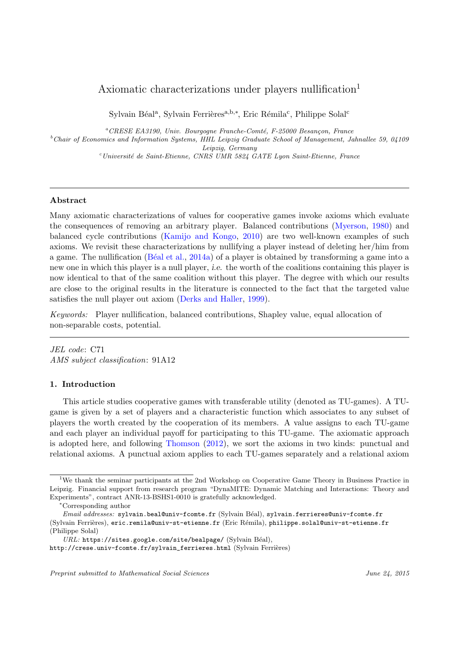## Axiomatic characterizations under players nullification<sup>1</sup>

Sylvain Béal<sup>a</sup>, Sylvain Ferrières<sup>a,b,∗</sup>, Eric Rémila<sup>c</sup>, Philippe Solal<sup>c</sup>

<sup>a</sup>CRESE EA3190, Univ. Bourgogne Franche-Comté, F-25000 Besançon, France

 $b$ <sup>b</sup>Chair of Economics and Information Systems, HHL Leipzig Graduate School of Management, Jahnallee 59, 04109 Leipzig, Germany

 $^c$ Université de Saint-Etienne, CNRS UMR 5824 GATE Lyon Saint-Etienne, France

## Abstract

Many axiomatic characterizations of values for cooperative games invoke axioms which evaluate the consequences of removing an arbitrary player. Balanced contributions (Myerson, 1980) and balanced cycle contributions (Kamijo and Kongo, 2010) are two well-known examples of such axioms. We revisit these characterizations by nullifying a player instead of deleting her/him from a game. The nullification (Béal et al., 2014a) of a player is obtained by transforming a game into a new one in which this player is a null player, i.e. the worth of the coalitions containing this player is now identical to that of the same coalition without this player. The degree with which our results are close to the original results in the literature is connected to the fact that the targeted value satisfies the null player out axiom (Derks and Haller, 1999).

Keywords: Player nullification, balanced contributions, Shapley value, equal allocation of non-separable costs, potential.

JEL code: C71 AMS subject classification: 91A12

## 1. Introduction

This article studies cooperative games with transferable utility (denoted as TU-games). A TUgame is given by a set of players and a characteristic function which associates to any subset of players the worth created by the cooperation of its members. A value assigns to each TU-game and each player an individual payoff for participating to this TU-game. The axiomatic approach is adopted here, and following Thomson (2012), we sort the axioms in two kinds: punctual and relational axioms. A punctual axiom applies to each TU-games separately and a relational axiom

http://crese.univ-fcomte.fr/sylvain\_ferrieres.html (Sylvain Ferrières)

<sup>&</sup>lt;sup>1</sup>We thank the seminar participants at the 2nd Workshop on Cooperative Game Theory in Business Practice in Leipzig. Financial support from research program "DynaMITE: Dynamic Matching and Interactions: Theory and Experiments", contract ANR-13-BSHS1-0010 is gratefully acknowledged.

<sup>∗</sup>Corresponding author

Email addresses: sylvain.beal@univ-fcomte.fr (Sylvain Béal), sylvain.ferrieres@univ-fcomte.fr (Sylvain Ferrières), eric.remila@univ-st-etienne.fr (Eric Rémila), philippe.solal@univ-st-etienne.fr (Philippe Solal)

 $URL:$  https://sites.google.com/site/bealpage/ (Sylvain Béal),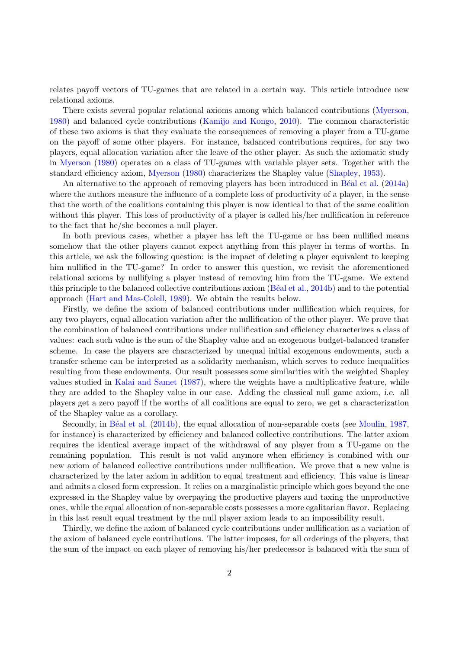relates payoff vectors of TU-games that are related in a certain way. This article introduce new relational axioms.

There exists several popular relational axioms among which balanced contributions (Myerson, 1980) and balanced cycle contributions (Kamijo and Kongo, 2010). The common characteristic of these two axioms is that they evaluate the consequences of removing a player from a TU-game on the payoff of some other players. For instance, balanced contributions requires, for any two players, equal allocation variation after the leave of the other player. As such the axiomatic study in Myerson (1980) operates on a class of TU-games with variable player sets. Together with the standard efficiency axiom, Myerson (1980) characterizes the Shapley value (Shapley, 1953).

An alternative to the approach of removing players has been introduced in Béal et al.  $(2014a)$ where the authors measure the influence of a complete loss of productivity of a player, in the sense that the worth of the coalitions containing this player is now identical to that of the same coalition without this player. This loss of productivity of a player is called his/her nullification in reference to the fact that he/she becomes a null player.

In both previous cases, whether a player has left the TU-game or has been nullified means somehow that the other players cannot expect anything from this player in terms of worths. In this article, we ask the following question: is the impact of deleting a player equivalent to keeping him nullified in the TU-game? In order to answer this question, we revisit the aforementioned relational axioms by nullifying a player instead of removing him from the TU-game. We extend this principle to the balanced collective contributions axiom (Béal et al., 2014b) and to the potential approach (Hart and Mas-Colell, 1989). We obtain the results below.

Firstly, we define the axiom of balanced contributions under nullification which requires, for any two players, equal allocation variation after the nullification of the other player. We prove that the combination of balanced contributions under nullification and efficiency characterizes a class of values: each such value is the sum of the Shapley value and an exogenous budget-balanced transfer scheme. In case the players are characterized by unequal initial exogenous endowments, such a transfer scheme can be interpreted as a solidarity mechanism, which serves to reduce inequalities resulting from these endowments. Our result possesses some similarities with the weighted Shapley values studied in Kalai and Samet (1987), where the weights have a multiplicative feature, while they are added to the Shapley value in our case. Adding the classical null game axiom, i.e. all players get a zero payoff if the worths of all coalitions are equal to zero, we get a characterization of the Shapley value as a corollary.

Secondly, in Béal et al. (2014b), the equal allocation of non-separable costs (see Moulin, 1987, for instance) is characterized by efficiency and balanced collective contributions. The latter axiom requires the identical average impact of the withdrawal of any player from a TU-game on the remaining population. This result is not valid anymore when efficiency is combined with our new axiom of balanced collective contributions under nullification. We prove that a new value is characterized by the later axiom in addition to equal treatment and efficiency. This value is linear and admits a closed form expression. It relies on a marginalistic principle which goes beyond the one expressed in the Shapley value by overpaying the productive players and taxing the unproductive ones, while the equal allocation of non-separable costs possesses a more egalitarian flavor. Replacing in this last result equal treatment by the null player axiom leads to an impossibility result.

Thirdly, we define the axiom of balanced cycle contributions under nullification as a variation of the axiom of balanced cycle contributions. The latter imposes, for all orderings of the players, that the sum of the impact on each player of removing his/her predecessor is balanced with the sum of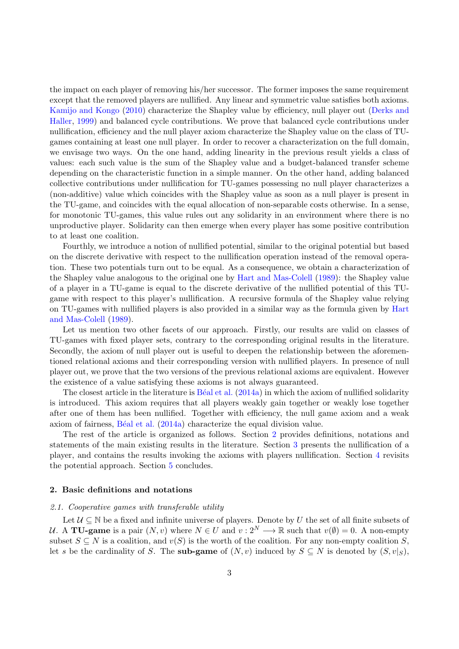the impact on each player of removing his/her successor. The former imposes the same requirement except that the removed players are nullified. Any linear and symmetric value satisfies both axioms. Kamijo and Kongo (2010) characterize the Shapley value by efficiency, null player out (Derks and Haller, 1999) and balanced cycle contributions. We prove that balanced cycle contributions under nullification, efficiency and the null player axiom characterize the Shapley value on the class of TUgames containing at least one null player. In order to recover a characterization on the full domain, we envisage two ways. On the one hand, adding linearity in the previous result yields a class of values: each such value is the sum of the Shapley value and a budget-balanced transfer scheme depending on the characteristic function in a simple manner. On the other hand, adding balanced collective contributions under nullification for TU-games possessing no null player characterizes a (non-additive) value which coincides with the Shapley value as soon as a null player is present in the TU-game, and coincides with the equal allocation of non-separable costs otherwise. In a sense, for monotonic TU-games, this value rules out any solidarity in an environment where there is no unproductive player. Solidarity can then emerge when every player has some positive contribution to at least one coalition.

Fourthly, we introduce a notion of nullified potential, similar to the original potential but based on the discrete derivative with respect to the nullification operation instead of the removal operation. These two potentials turn out to be equal. As a consequence, we obtain a characterization of the Shapley value analogous to the original one by Hart and Mas-Colell (1989): the Shapley value of a player in a TU-game is equal to the discrete derivative of the nullified potential of this TUgame with respect to this player's nullification. A recursive formula of the Shapley value relying on TU-games with nullified players is also provided in a similar way as the formula given by Hart and Mas-Colell (1989).

Let us mention two other facets of our approach. Firstly, our results are valid on classes of TU-games with fixed player sets, contrary to the corresponding original results in the literature. Secondly, the axiom of null player out is useful to deepen the relationship between the aforementioned relational axioms and their corresponding version with nullified players. In presence of null player out, we prove that the two versions of the previous relational axioms are equivalent. However the existence of a value satisfying these axioms is not always guaranteed.

The closest article in the literature is Béal et al.  $(2014a)$  in which the axiom of nullified solidarity is introduced. This axiom requires that all players weakly gain together or weakly lose together after one of them has been nullified. Together with efficiency, the null game axiom and a weak axiom of fairness, Béal et al.  $(2014a)$  characterize the equal division value.

The rest of the article is organized as follows. Section 2 provides definitions, notations and statements of the main existing results in the literature. Section 3 presents the nullification of a player, and contains the results invoking the axioms with players nullification. Section 4 revisits the potential approach. Section 5 concludes.

#### 2. Basic definitions and notations

#### 2.1. Cooperative games with transferable utility

Let  $U \subseteq \mathbb{N}$  be a fixed and infinite universe of players. Denote by U the set of all finite subsets of U. A TU-game is a pair  $(N, v)$  where  $N \in U$  and  $v : 2^N \longrightarrow \mathbb{R}$  such that  $v(\emptyset) = 0$ . A non-empty subset  $S \subseteq N$  is a coalition, and  $v(S)$  is the worth of the coalition. For any non-empty coalition S, let s be the cardinality of S. The **sub-game** of  $(N, v)$  induced by  $S \subseteq N$  is denoted by  $(S, v|S)$ ,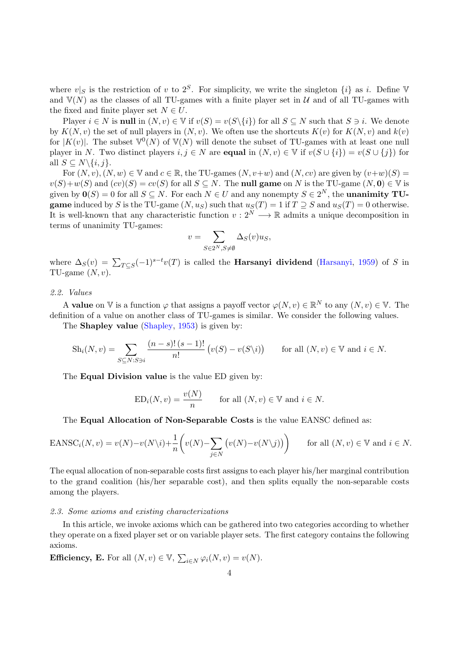where  $v|_S$  is the restriction of v to  $2^S$ . For simplicity, we write the singleton  $\{i\}$  as i. Define V and  $V(N)$  as the classes of all TU-games with a finite player set in U and of all TU-games with the fixed and finite player set  $N \in U$ .

Player  $i \in N$  is null in  $(N, v) \in \mathbb{V}$  if  $v(S) = v(S\setminus\{i\})$  for all  $S \subseteq N$  such that  $S \ni i$ . We denote by  $K(N, v)$  the set of null players in  $(N, v)$ . We often use the shortcuts  $K(v)$  for  $K(N, v)$  and  $k(v)$ for  $|K(v)|$ . The subset  $\mathbb{V}^0(N)$  of  $\mathbb{V}(N)$  will denote the subset of TU-games with at least one null player in N. Two distinct players  $i, j \in N$  are **equal** in  $(N, v) \in V$  if  $v(S \cup \{i\}) = v(S \cup \{j\})$  for all  $S \subseteq N \setminus \{i, j\}.$ 

For  $(N, v), (N, w) \in V$  and  $c \in \mathbb{R}$ , the TU-games  $(N, v+w)$  and  $(N, cv)$  are given by  $(v+w)(S)$  $v(S)+w(S)$  and  $(cv)(S)=cv(S)$  for all  $S\subseteq N$ . The **null game** on N is the TU-game  $(N, 0) \in V$  is given by  $\mathbf{0}(S) = 0$  for all  $S \subseteq N$ . For each  $N \in U$  and any nonempty  $S \in 2^N$ , the **unanimity TU**game induced by S is the TU-game  $(N, u<sub>S</sub>)$  such that  $u<sub>S</sub>(T) = 1$  if  $T \supseteq S$  and  $u<sub>S</sub>(T) = 0$  otherwise. It is well-known that any characteristic function  $v: 2^N \longrightarrow \mathbb{R}$  admits a unique decomposition in terms of unanimity TU-games:

$$
v = \sum_{S \in 2^N, S \neq \emptyset} \Delta_S(v) u_S,
$$

where  $\Delta_S(v) = \sum_{T \subseteq S} (-1)^{s-t} v(T)$  is called the **Harsanyi dividend** (Harsanyi, 1959) of S in TU-game  $(N, v)$ .

## 2.2. Values

A value on V is a function  $\varphi$  that assigns a payoff vector  $\varphi(N, v) \in \mathbb{R}^N$  to any  $(N, v) \in \mathbb{V}$ . The definition of a value on another class of TU-games is similar. We consider the following values.

The **Shapley value** (Shapley, 1953) is given by:

$$
Sh_i(N, v) = \sum_{S \subseteq N: S \ni i} \frac{(n-s)! (s-1)!}{n!} (v(S) - v(S \setminus i)) \quad \text{for all } (N, v) \in \mathbb{V} \text{ and } i \in N.
$$

The **Equal Division value** is the value ED given by:

$$
ED_i(N, v) = \frac{v(N)}{n} \quad \text{for all } (N, v) \in \mathbb{V} \text{ and } i \in N.
$$

The Equal Allocation of Non-Separable Costs is the value EANSC defined as:

$$
EANSC_i(N, v) = v(N) - v(N\backslash i) + \frac{1}{n} \left( v(N) - \sum_{j \in N} \left( v(N) - v(N\backslash j) \right) \right) \quad \text{for all } (N, v) \in \mathbb{V} \text{ and } i \in N.
$$

The equal allocation of non-separable costs first assigns to each player his/her marginal contribution to the grand coalition (his/her separable cost), and then splits equally the non-separable costs among the players.

#### 2.3. Some axioms and existing characterizations

In this article, we invoke axioms which can be gathered into two categories according to whether they operate on a fixed player set or on variable player sets. The first category contains the following axioms.

**Efficiency, E.** For all  $(N, v) \in \mathbb{V}$ ,  $\sum_{i \in N} \varphi_i(N, v) = v(N)$ .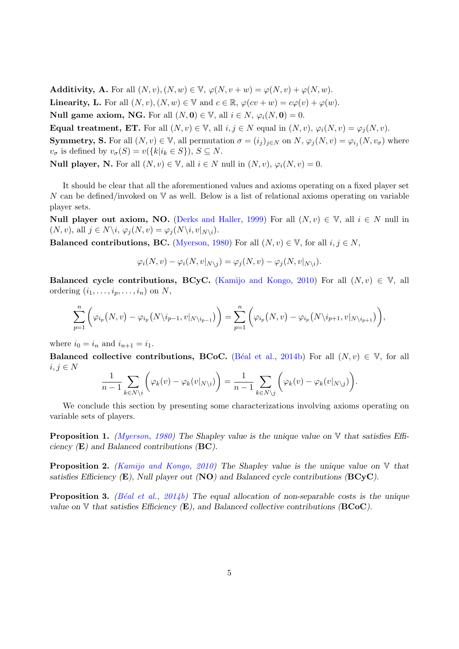Additivity, A. For all  $(N, v), (N, w) \in V$ ,  $\varphi(N, v + w) = \varphi(N, v) + \varphi(N, w)$ . **Linearity, L.** For all  $(N, v), (N, w) \in \mathbb{V}$  and  $c \in \mathbb{R}, \varphi(cv + w) = c\varphi(v) + \varphi(w)$ . **Null game axiom, NG.** For all  $(N, 0) \in \mathbb{V}$ , all  $i \in N$ ,  $\varphi_i(N, 0) = 0$ . Equal treatment, ET. For all  $(N, v) \in V$ , all  $i, j \in N$  equal in  $(N, v)$ ,  $\varphi_i(N, v) = \varphi_i(N, v)$ . **Symmetry, S.** For all  $(N, v) \in \mathbb{V}$ , all permutation  $\sigma = (i_j)_{j \in N}$  on  $N$ ,  $\varphi_j(N, v) = \varphi_{i_j}(N, v_{\sigma})$  where  $v_{\sigma}$  is defined by  $v_{\sigma}(S) = v({k|i_k \in S}), S \subseteq N$ .

**Null player, N.** For all  $(N, v) \in \mathbb{V}$ , all  $i \in N$  null in  $(N, v)$ ,  $\varphi_i(N, v) = 0$ .

It should be clear that all the aforementioned values and axioms operating on a fixed player set N can be defined/invoked on  $\nabla$  as well. Below is a list of relational axioms operating on variable player sets.

**Null player out axiom, NO.** (Derks and Haller, 1999) For all  $(N, v) \in V$ , all  $i \in N$  null in  $(N, v)$ , all  $j \in N \backslash i$ ,  $\varphi_j(N, v) = \varphi_j(N \backslash i, v|_{N \backslash i})$ .

Balanced contributions, BC. (Myerson, 1980) For all  $(N, v) \in V$ , for all  $i, j \in N$ ,

$$
\varphi_i(N, v) - \varphi_i(N, v|_{N \setminus j}) = \varphi_j(N, v) - \varphi_j(N, v|_{N \setminus i}).
$$

Balanced cycle contributions, BCyC. (Kamijo and Kongo, 2010) For all  $(N, v) \in V$ , all ordering  $(i_1, \ldots, i_n, \ldots, i_n)$  on N,

$$
\sum_{p=1}^n \left( \varphi_{i_p}(N,v) - \varphi_{i_p}(N\backslash i_{p-1},v|_{N\backslash i_{p-1}}) \right) = \sum_{p=1}^n \left( \varphi_{i_p}(N,v) - \varphi_{i_p}(N\backslash i_{p+1},v|_{N\backslash i_{p+1}}) \right),
$$

where  $i_0 = i_n$  and  $i_{n+1} = i_1$ .

Balanced collective contributions, BCoC. (Béal et al., 2014b) For all  $(N, v) \in V$ , for all  $i, j \in N$ 

$$
\frac{1}{n-1}\sum_{k\in N\setminus i}\bigg(\varphi_k(v)-\varphi_k(v|_{N\setminus i})\bigg)=\frac{1}{n-1}\sum_{k\in N\setminus j}\bigg(\varphi_k(v)-\varphi_k(v|_{N\setminus j})\bigg).
$$

We conclude this section by presenting some characterizations involving axioms operating on variable sets of players.

**Proposition 1.** (Myerson, 1980) The Shapley value is the unique value on  $V$  that satisfies Efficiency  $(E)$  and Balanced contributions  $(BC)$ .

**Proposition 2.** (Kamijo and Kongo, 2010) The Shapley value is the unique value on  $\nabla$  that satisfies Efficiency  $(E)$ , Null player out  $(NO)$  and Balanced cycle contributions  $(BCyC)$ .

**Proposition 3.** (Béal et al.,  $2014b$ ) The equal allocation of non-separable costs is the unique value on  $V$  that satisfies Efficiency  $(E)$ , and Balanced collective contributions ( $BCoC$ ).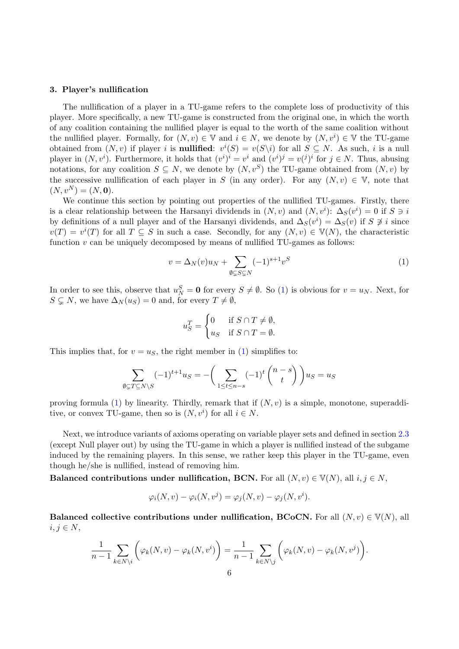#### 3. Player's nullification

The nullification of a player in a TU-game refers to the complete loss of productivity of this player. More specifically, a new TU-game is constructed from the original one, in which the worth of any coalition containing the nullified player is equal to the worth of the same coalition without the nullified player. Formally, for  $(N, v) \in V$  and  $i \in N$ , we denote by  $(N, v^i) \in V$  the TU-game obtained from  $(N, v)$  if player i is **nullified**:  $v^i(S) = v(S\backslash i)$  for all  $S \subseteq N$ . As such, i is a null player in  $(N, v^i)$ . Furthermore, it holds that  $(v^i)^i = v^i$  and  $(v^i)^j = v^i^{j}$  for  $j \in N$ . Thus, abusing notations, for any coalition  $S \subseteq N$ , we denote by  $(N, v^S)$  the TU-game obtained from  $(N, v)$  by the successive nullification of each player in S (in any order). For any  $(N, v) \in V$ , note that  $(N, v^N) = (N, 0).$ 

We continue this section by pointing out properties of the nullified TU-games. Firstly, there is a clear relationship between the Harsanyi dividends in  $(N, v)$  and  $(N, v^i)$ :  $\Delta_S(v^i) = 0$  if  $S \ni i$ by definitions of a null player and of the Harsanyi dividends, and  $\Delta_S(v^i) = \Delta_S(v)$  if  $S \not\ni i$  since  $v(T) = v^{i}(T)$  for all  $T \subseteq S$  in such a case. Secondly, for any  $(N, v) \in V(N)$ , the characteristic function  $v$  can be uniquely decomposed by means of nullified TU-games as follows:

$$
v = \Delta_N(v)u_N + \sum_{\emptyset \subsetneq S \subsetneq N} (-1)^{s+1} v^S \tag{1}
$$

In order to see this, observe that  $u_N^S = \mathbf{0}$  for every  $S \neq \emptyset$ . So (1) is obvious for  $v = u_N$ . Next, for  $S \subsetneq N$ , we have  $\Delta_N(u_S) = 0$  and, for every  $T \neq \emptyset$ ,

$$
u_S^T = \begin{cases} 0 & \text{if } S \cap T \neq \emptyset, \\ u_S & \text{if } S \cap T = \emptyset. \end{cases}
$$

This implies that, for  $v = u<sub>S</sub>$ , the right member in (1) simplifies to:

$$
\sum_{\emptyset \subsetneq T \subseteq N \setminus S} (-1)^{t+1} u_S = - \left( \sum_{1 \leq t \leq n-s} (-1)^{t} \binom{n-s}{t} \right) u_S = u_S
$$

proving formula (1) by linearity. Thirdly, remark that if  $(N, v)$  is a simple, monotone, superadditive, or convex TU-game, then so is  $(N, v<sup>i</sup>)$  for all  $i \in N$ .

Next, we introduce variants of axioms operating on variable player sets and defined in section 2.3 (except Null player out) by using the TU-game in which a player is nullified instead of the subgame induced by the remaining players. In this sense, we rather keep this player in the TU-game, even though he/she is nullified, instead of removing him.

Balanced contributions under nullification, BCN. For all  $(N, v) \in V(N)$ , all  $i, j \in N$ ,

$$
\varphi_i(N, v) - \varphi_i(N, v^j) = \varphi_j(N, v) - \varphi_j(N, v^i).
$$

Balanced collective contributions under nullification, BCoCN. For all  $(N, v) \in V(N)$ , all  $i, j \in N$ ,

$$
\frac{1}{n-1}\sum_{k\in N\setminus i}\bigg(\varphi_k(N,v)-\varphi_k(N,v^i)\bigg)=\frac{1}{n-1}\sum_{k\in N\setminus j}\bigg(\varphi_k(N,v)-\varphi_k(N,v^j)\bigg).
$$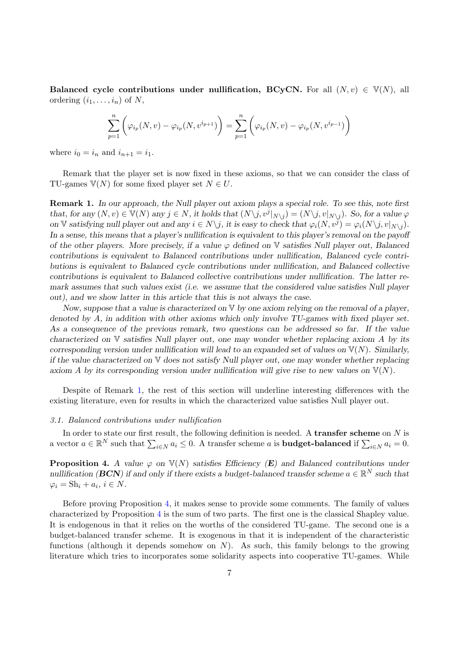Balanced cycle contributions under nullification, BCyCN. For all  $(N, v) \in V(N)$ , all ordering  $(i_1, \ldots, i_n)$  of N,

$$
\sum_{p=1}^{n} \left( \varphi_{i_p}(N, v) - \varphi_{i_p}(N, v^{i_{p+1}}) \right) = \sum_{p=1}^{n} \left( \varphi_{i_p}(N, v) - \varphi_{i_p}(N, v^{i_{p-1}}) \right)
$$

where  $i_0 = i_n$  and  $i_{n+1} = i_1$ .

Remark that the player set is now fixed in these axioms, so that we can consider the class of TU-games  $\mathbb{V}(N)$  for some fixed player set  $N \in U$ .

Remark 1. In our approach, the Null player out axiom plays a special role. To see this, note first that, for any  $(N, v) \in V(N)$  any  $j \in N$ , it holds that  $(N \setminus j, v^j|_{N \setminus j}) = (N \setminus j, v|_{N \setminus j})$ . So, for a value  $\varphi$ on  $\mathbb V$  satisfying null player out and any  $i \in \mathbb N \setminus j$ , it is easy to check that  $\varphi_i(N, v^j) = \varphi_i(N \setminus j, v|_{N \setminus j})$ . In a sense, this means that a player's nullification is equivalent to this player's removal on the payoff of the other players. More precisely, if a value  $\varphi$  defined on  $\mathbb V$  satisfies Null player out, Balanced contributions is equivalent to Balanced contributions under nullification, Balanced cycle contributions is equivalent to Balanced cycle contributions under nullification, and Balanced collective contributions is equivalent to Balanced collective contributions under nullification. The latter remark assumes that such values exist (i.e. we assume that the considered value satisfies Null player out), and we show latter in this article that this is not always the case.

Now, suppose that a value is characterized on  $\mathbb V$  by one axiom relying on the removal of a player, denoted by A, in addition with other axioms which only involve TU-games with fixed player set. As a consequence of the previous remark, two questions can be addressed so far. If the value characterized on  $V$  satisfies Null player out, one may wonder whether replacing axiom A by its corresponding version under nullification will lead to an expanded set of values on  $\mathbb{V}(N)$ . Similarly, if the value characterized on  $V$  does not satisfy Null player out, one may wonder whether replacing axiom A by its corresponding version under nullification will give rise to new values on  $\mathbb{V}(N)$ .

Despite of Remark 1, the rest of this section will underline interesting differences with the existing literature, even for results in which the characterized value satisfies Null player out.

#### 3.1. Balanced contributions under nullification

In order to state our first result, the following definition is needed. A **transfer scheme** on  $N$  is a vector  $a \in \mathbb{R}^N$  such that  $\sum_{i \in N} a_i \leq 0$ . A transfer scheme a is **budget-balanced** if  $\sum_{i \in N} a_i = 0$ .

**Proposition 4.** A value  $\varphi$  on  $V(N)$  satisfies Efficiency (E) and Balanced contributions under nullification (**BCN**) if and only if there exists a budget-balanced transfer scheme  $a \in \mathbb{R}^N$  such that  $\varphi_i = \mathrm{Sh}_i + a_i, i \in N.$ 

Before proving Proposition 4, it makes sense to provide some comments. The family of values characterized by Proposition 4 is the sum of two parts. The first one is the classical Shapley value. It is endogenous in that it relies on the worths of the considered TU-game. The second one is a budget-balanced transfer scheme. It is exogenous in that it is independent of the characteristic functions (although it depends somehow on  $N$ ). As such, this family belongs to the growing literature which tries to incorporates some solidarity aspects into cooperative TU-games. While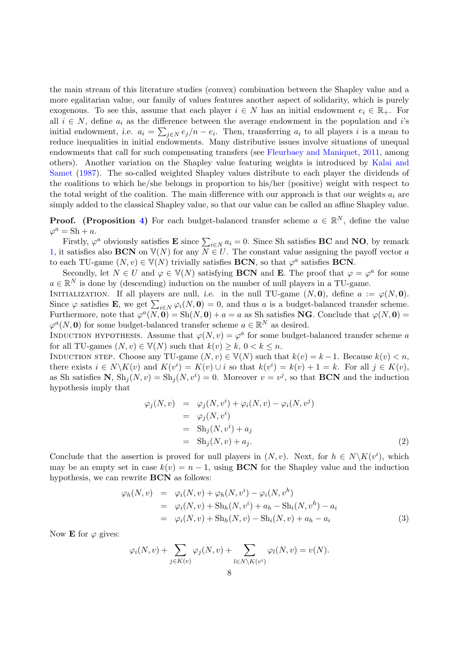the main stream of this literature studies (convex) combination between the Shapley value and a more egalitarian value, our family of values features another aspect of solidarity, which is purely exogenous. To see this, assume that each player  $i \in N$  has an initial endowment  $e_i \in \mathbb{R}_+$ . For all  $i \in N$ , define  $a_i$  as the difference between the average endowment in the population and i's initial endowment, i.e.  $a_i = \sum_{j \in N} e_j/n - e_i$ . Then, transferring  $a_i$  to all players i is a mean to reduce inequalities in initial endowments. Many distributive issues involve situations of unequal endowments that call for such compensating transfers (see Fleurbaey and Maniquet, 2011, among others). Another variation on the Shapley value featuring weights is introduced by Kalai and Samet (1987). The so-called weighted Shapley values distribute to each player the dividends of the coalitions to which he/she belongs in proportion to his/her (positive) weight with respect to the total weight of the coalition. The main difference with our approach is that our weights  $a_i$  are simply added to the classical Shapley value, so that our value can be called an affine Shapley value.

**Proof.** (Proposition 4) For each budget-balanced transfer scheme  $a \in \mathbb{R}^N$ , define the value  $\varphi^a = \mathrm{Sh} + a.$ 

Firstly,  $\varphi^a$  obviously satisfies **E** since  $\sum_{i \in N} a_i = 0$ . Since Sh satisfies **BC** and **NO**, by remark 1, it satisfies also **BCN** on  $V(N)$  for any  $N \in U$ . The constant value assigning the payoff vector a to each TU-game  $(N, v) \in V(N)$  trivially satisfies **BCN**, so that  $\varphi^a$  satisfies **BCN**.

Secondly, let  $N \in U$  and  $\varphi \in V(N)$  satisfying **BCN** and **E**. The proof that  $\varphi = \varphi^a$  for some  $a \in \mathbb{R}^N$  is done by (descending) induction on the number of null players in a TU-game.

INITIALIZATION. If all players are null, i.e. in the null TU-game  $(N, 0)$ , define  $a := \varphi(N, 0)$ . Since  $\varphi$  satisfies **E**, we get  $\sum_{i \in N} \varphi_i(N, 0) = 0$ , and thus a is a budget-balanced transfer scheme. Furthermore, note that  $\varphi^a(N,0) = Sh(N,0) + a = a$  as Sh satisfies **NG**. Conclude that  $\varphi(N,0) =$  $\varphi^a(N, \mathbf{0})$  for some budget-balanced transfer scheme  $a \in \mathbb{R}^N$  as desired.

INDUCTION HYPOTHESIS. Assume that  $\varphi(N, v) = \varphi^a$  for some budget-balanced transfer scheme a for all TU-games  $(N, v) \in V(N)$  such that  $k(v) \geq k, 0 < k \leq n$ .

INDUCTION STEP. Choose any TU-game  $(N, v) \in V(N)$  such that  $k(v) = k - 1$ . Because  $k(v) < n$ , there exists  $i \in N \backslash K(v)$  and  $K(v^i) = K(v) \cup i$  so that  $k(v^i) = k(v) + 1 = k$ . For all  $j \in K(v)$ , as Sh satisfies  $N$ ,  $\text{Sh}_j(N, v) = \text{Sh}_j(N, v^i) = 0$ . Moreover  $v = v^j$ , so that **BCN** and the induction hypothesis imply that

$$
\varphi_j(N, v) = \varphi_j(N, v^i) + \varphi_i(N, v) - \varphi_i(N, v^j)
$$
  
\n
$$
= \varphi_j(N, v^i)
$$
  
\n
$$
= Sh_j(N, v^i) + a_j
$$
  
\n
$$
= Sh_j(N, v) + a_j.
$$
\n(2)

Conclude that the assertion is proved for null players in  $(N, v)$ . Next, for  $h \in N \backslash K(v^{i})$ , which may be an empty set in case  $k(v) = n - 1$ , using **BCN** for the Shapley value and the induction hypothesis, we can rewrite **BCN** as follows:

$$
\varphi_h(N, v) = \varphi_i(N, v) + \varphi_h(N, v^i) - \varphi_i(N, v^h)
$$
  
= 
$$
\varphi_i(N, v) + \text{Sh}_h(N, v^i) + a_h - \text{Sh}_i(N, v^h) - a_i
$$
  
= 
$$
\varphi_i(N, v) + \text{Sh}_h(N, v) - \text{Sh}_i(N, v) + a_h - a_i
$$
 (3)

Now **E** for  $\varphi$  gives:

$$
\varphi_i(N, v) + \sum_{j \in K(v)} \varphi_j(N, v) + \sum_{l \in N \setminus K(v^i)} \varphi_l(N, v) = v(N).
$$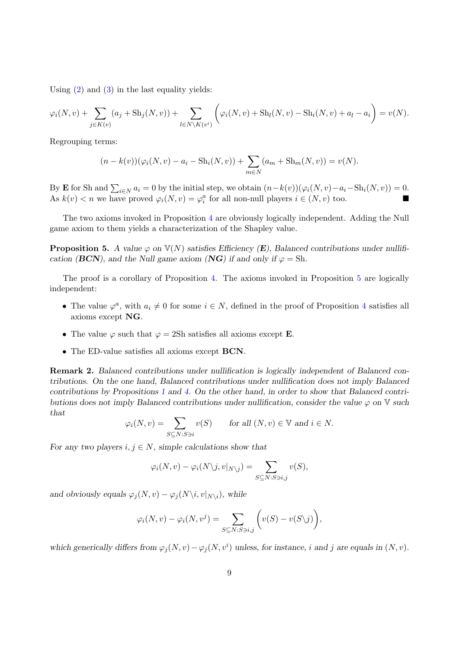Using  $(2)$  and  $(3)$  in the last equality yields:

$$
\varphi_i(N, v) + \sum_{j \in K(v)} (a_j + Sh_j(N, v)) + \sum_{l \in N \setminus K(v^i)} \left( \varphi_i(N, v) + Sh_l(N, v) - Sh_i(N, v) + a_l - a_i \right) = v(N).
$$

Regrouping terms:

$$
(n - k(v))(\varphi_i(N, v) - a_i - Sh_i(N, v)) + \sum_{m \in N} (a_m + Sh_m(N, v)) = v(N).
$$

By **E** for Sh and  $\sum_{i\in N} a_i = 0$  by the initial step, we obtain  $(n-k(v))(\varphi_i(N, v)-a_i-\text{Sh}_i(N, v))=0.$ As  $k(v) < n$  we have proved  $\varphi_i(N, v) = \varphi_i^a$  for all non-null players  $i \in (N, v)$  too.

The two axioms invoked in Proposition 4 are obviously logically independent. Adding the Null game axiom to them yields a characterization of the Shapley value.

**Proposition 5.** A value  $\varphi$  on  $V(N)$  satisfies Efficiency (E), Balanced contributions under nullification (BCN), and the Null game axiom (NG) if and only if  $\varphi = Sh$ .

The proof is a corollary of Proposition 4. The axioms invoked in Proposition 5 are logically independent:

- The value  $\varphi^a$ , with  $a_i \neq 0$  for some  $i \in N$ , defined in the proof of Proposition 4 satisfies all axioms except NG.
- The value  $\varphi$  such that  $\varphi = 2\text{Sh}$  satisfies all axioms except **E**.
- The ED-value satisfies all axioms except BCN.

Remark 2. Balanced contributions under nullification is logically independent of Balanced contributions. On the one hand, Balanced contributions under nullification does not imply Balanced contributions by Propositions 1 and 4. On the other hand, in order to show that Balanced contributions does not imply Balanced contributions under nullification, consider the value  $\varphi$  on  $\mathbb {V}$  such that

$$
\varphi_i(N, v) = \sum_{S \subseteq N: S \ni i} v(S) \quad \text{for all } (N, v) \in \mathbb{V} \text{ and } i \in N.
$$

For any two players  $i, j \in N$ , simple calculations show that

$$
\varphi_i(N, v) - \varphi_i(N \setminus j, v|_{N \setminus j}) = \sum_{S \subseteq N: S \ni i, j} v(S),
$$

and obviously equals  $\varphi_j(N, v) - \varphi_j(N \setminus i, v|_{N \setminus i}),$  while

$$
\varphi_i(N, v) - \varphi_i(N, v^j) = \sum_{S \subseteq N: S \ni i, j} \left( v(S) - v(S \setminus j) \right),
$$

which generically differs from  $\varphi_j(N, v) - \varphi_j(N, v^i)$  unless, for instance, i and j are equals in  $(N, v)$ .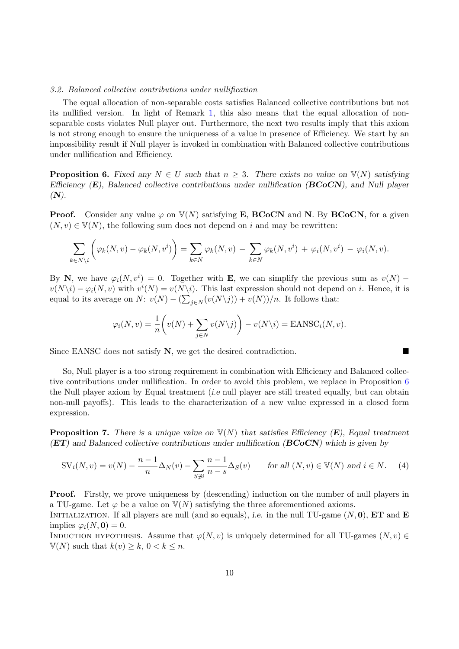#### 3.2. Balanced collective contributions under nullification

The equal allocation of non-separable costs satisfies Balanced collective contributions but not its nullified version. In light of Remark 1, this also means that the equal allocation of nonseparable costs violates Null player out. Furthermore, the next two results imply that this axiom is not strong enough to ensure the uniqueness of a value in presence of Efficiency. We start by an impossibility result if Null player is invoked in combination with Balanced collective contributions under nullification and Efficiency.

**Proposition 6.** Fixed any  $N \in U$  such that  $n \geq 3$ . There exists no value on  $V(N)$  satisfying Efficiency  $(E)$ , Balanced collective contributions under nullification  $(BCoCN)$ , and Null player  $(N).$ 

**Proof.** Consider any value  $\varphi$  on  $V(N)$  satisfying **E**, **BCoCN** and **N**. By **BCoCN**, for a given  $(N, v) \in V(N)$ , the following sum does not depend on i and may be rewritten:

$$
\sum_{k \in N \setminus i} \left( \varphi_k(N, v) - \varphi_k(N, v^i) \right) = \sum_{k \in N} \varphi_k(N, v) - \sum_{k \in N} \varphi_k(N, v^i) + \varphi_i(N, v^i) - \varphi_i(N, v).
$$

By N, we have  $\varphi_i(N, v^i) = 0$ . Together with E, we can simplify the previous sum as  $v(N)$  –  $v(N\setminus i) - \varphi_i(N, v)$  with  $v^i(N) = v(N\setminus i)$ . This last expression should not depend on i. Hence, it is equal to its average on  $N: v(N) - (\sum_{j \in N} (v(N\setminus j)) + v(N))/n$ . It follows that:

$$
\varphi_i(N, v) = \frac{1}{n} \left( v(N) + \sum_{j \in N} v(N \setminus j) \right) - v(N \setminus i) = \text{EANSC}_i(N, v).
$$

Since EANSC does not satisfy N, we get the desired contradiction.

So, Null player is a too strong requirement in combination with Efficiency and Balanced collective contributions under nullification. In order to avoid this problem, we replace in Proposition 6 the Null player axiom by Equal treatment (i.e null player are still treated equally, but can obtain non-null payoffs). This leads to the characterization of a new value expressed in a closed form expression.

**Proposition 7.** There is a unique value on  $V(N)$  that satisfies Efficiency (E), Equal treatment  $(ET)$  and Balanced collective contributions under nullification  $(BCoCN)$  which is given by

$$
SV_i(N, v) = v(N) - \frac{n-1}{n} \Delta_N(v) - \sum_{S \not\supset i} \frac{n-1}{n-s} \Delta_S(v) \qquad \text{for all } (N, v) \in V(N) \text{ and } i \in N. \tag{4}
$$

**Proof.** Firstly, we prove uniqueness by (descending) induction on the number of null players in a TU-game. Let  $\varphi$  be a value on  $V(N)$  satisfying the three aforementioned axioms.

INITIALIZATION. If all players are null (and so equals), i.e. in the null TU-game  $(N, 0)$ , ET and E implies  $\varphi_i(N, 0) = 0$ .

INDUCTION HYPOTHESIS. Assume that  $\varphi(N, v)$  is uniquely determined for all TU-games  $(N, v) \in$  $\mathbb{V}(N)$  such that  $k(v) \geq k, 0 < k \leq n$ .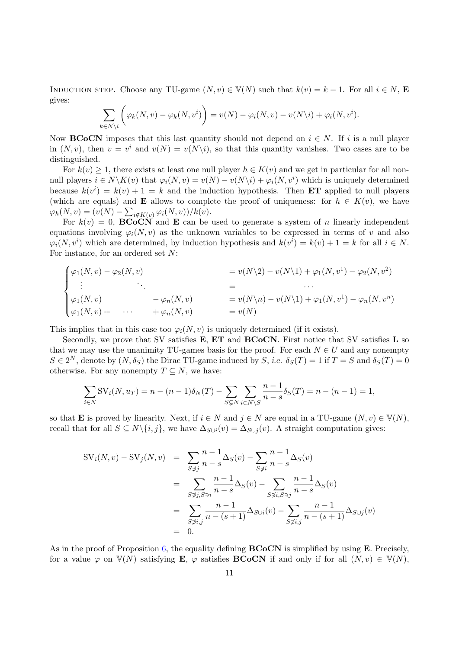INDUCTION STEP. Choose any TU-game  $(N, v) \in V(N)$  such that  $k(v) = k - 1$ . For all  $i \in N$ , E gives:

$$
\sum_{k \in N \setminus i} \left( \varphi_k(N, v) - \varphi_k(N, v^i) \right) = v(N) - \varphi_i(N, v) - v(N \setminus i) + \varphi_i(N, v^i).
$$

Now **BCoCN** imposes that this last quantity should not depend on  $i \in N$ . If i is a null player in  $(N, v)$ , then  $v = v^i$  and  $v(N) = v(N\backslash i)$ , so that this quantity vanishes. Two cases are to be distinguished.

For  $k(v) \geq 1$ , there exists at least one null player  $h \in K(v)$  and we get in particular for all nonnull players  $i \in N \backslash K(v)$  that  $\varphi_i(N, v) = v(N) - v(N \backslash i) + \varphi_i(N, v^i)$  which is uniquely determined because  $k(v^i) = k(v) + 1 = k$  and the induction hypothesis. Then **ET** applied to null players (which are equals) and **E** allows to complete the proof of uniqueness: for  $h \in K(v)$ , we have  $\varphi_h(N, v) = (v(N) - \sum_{i \notin K(v)} \varphi_i(N, v))/k(v).$ 

For  $k(v) = 0$ , **BCoCN** and **E** can be used to generate a system of n linearly independent equations involving  $\varphi_i(N, v)$  as the unknown variables to be expressed in terms of v and also  $\varphi_i(N, v^i)$  which are determined, by induction hypothesis and  $k(v^i) = k(v) + 1 = k$  for all  $i \in N$ . For instance, for an ordered set N:

$$
\begin{cases}\n\varphi_1(N,v) - \varphi_2(N,v) & = v(N\backslash 2) - v(N\backslash 1) + \varphi_1(N,v^1) - \varphi_2(N,v^2) \\
\vdots & \ddots & = & \dots \\
\varphi_1(N,v) & -\varphi_n(N,v) & = v(N\backslash n) - v(N\backslash 1) + \varphi_1(N,v^1) - \varphi_n(N,v^n) \\
\varphi_1(N,v) + \cdots + \varphi_n(N,v) & = v(N)\n\end{cases}
$$

This implies that in this case too  $\varphi_i(N, v)$  is uniquely determined (if it exists).

Secondly, we prove that SV satisfies E, ET and BCoCN. First notice that SV satisfies L so that we may use the unanimity TU-games basis for the proof. For each  $N \in U$  and any nonempty  $S \in 2^N$ , denote by  $(N, \delta_S)$  the Dirac TU-game induced by S, i.e.  $\delta_S(T) = 1$  if  $T = S$  and  $\delta_S(T) = 0$ otherwise. For any nonempty  $T \subseteq N$ , we have:

$$
\sum_{i \in N} \text{SV}_i(N, u_T) = n - (n - 1)\delta_N(T) - \sum_{S \subsetneq N} \sum_{i \in N \setminus S} \frac{n - 1}{n - s} \delta_S(T) = n - (n - 1) = 1,
$$

so that **E** is proved by linearity. Next, if  $i \in N$  and  $j \in N$  are equal in a TU-game  $(N, v) \in V(N)$ , recall that for all  $S \subseteq N\setminus\{i, j\}$ , we have  $\Delta_{S\cup i}(v) = \Delta_{S\cup i}(v)$ . A straight computation gives:

$$
SV_i(N, v) - SV_j(N, v) = \sum_{S \not\ni j} \frac{n-1}{n-s} \Delta_S(v) - \sum_{S \not\ni i} \frac{n-1}{n-s} \Delta_S(v)
$$
  
= 
$$
\sum_{S \not\ni j, S \ni i} \frac{n-1}{n-s} \Delta_S(v) - \sum_{S \not\ni i, S \ni j} \frac{n-1}{n-s} \Delta_S(v)
$$
  
= 
$$
\sum_{S \not\ni i, j} \frac{n-1}{n-(s+1)} \Delta_{SU_i}(v) - \sum_{S \not\ni i, j} \frac{n-1}{n-(s+1)} \Delta_{SU_j}(v)
$$
  
= 0.

As in the proof of Proposition 6, the equality defining  $\bf BCoCN$  is simplified by using  $\bf E$ . Precisely, for a value  $\varphi$  on  $\mathbb{V}(N)$  satisfying **E**,  $\varphi$  satisfies **BCoCN** if and only if for all  $(N, v) \in \mathbb{V}(N)$ ,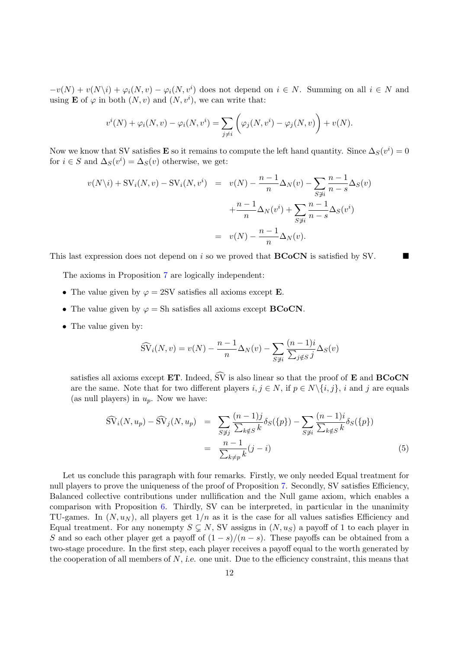$-v(N) + v(N\mid i) + \varphi_i(N, v) - \varphi_i(N, v^i)$  does not depend on  $i \in N$ . Summing on all  $i \in N$  and using **E** of  $\varphi$  in both  $(N, v)$  and  $(N, v^i)$ , we can write that:

$$
v^{i}(N) + \varphi_{i}(N,v) - \varphi_{i}(N,v^{i}) = \sum_{j \neq i} \left( \varphi_{j}(N,v^{i}) - \varphi_{j}(N,v) \right) + v(N).
$$

Now we know that SV satisfies **E** so it remains to compute the left hand quantity. Since  $\Delta_S(v^i) = 0$ for  $i \in S$  and  $\Delta_S(v^i) = \Delta_S(v)$  otherwise, we get:

$$
v(N\backslash i) + \text{SV}_i(N, v) - \text{SV}_i(N, v^i) = v(N) - \frac{n-1}{n} \Delta_N(v) - \sum_{S \not\ni i} \frac{n-1}{n-s} \Delta_S(v)
$$

$$
+ \frac{n-1}{n} \Delta_N(v^i) + \sum_{S \not\ni i} \frac{n-1}{n-s} \Delta_S(v^i)
$$

$$
= v(N) - \frac{n-1}{n} \Delta_N(v).
$$

This last expression does not depend on i so we proved that **BCoCN** is satisfied by SV.

The axioms in Proposition 7 are logically independent:

- The value given by  $\varphi = 2SV$  satisfies all axioms except **E**.
- The value given by  $\varphi = Sh$  satisfies all axioms except **BCoCN**.
- The value given by:

$$
\widehat{SV}_i(N, v) = v(N) - \frac{n-1}{n} \Delta_N(v) - \sum_{S \neq i} \frac{(n-1)i}{\sum_{j \notin S} j} \Delta_S(v)
$$

satisfies all axioms except ET. Indeed,  $\widehat{SV}$  is also linear so that the proof of E and **BCoCN** are the same. Note that for two different players  $i, j \in N$ , if  $p \in N \setminus \{i, j\}$ , i and j are equals (as null players) in  $u_p$ . Now we have:

$$
\widehat{SV}_i(N, u_p) - \widehat{SV}_j(N, u_p) = \sum_{S \neq j} \frac{(n-1)j}{\sum_{k \notin S} k} \delta_S(\{p\}) - \sum_{S \neq i} \frac{(n-1)i}{\sum_{k \notin S} k} \delta_S(\{p\})
$$

$$
= \frac{n-1}{\sum_{k \neq p} k} (j-i)
$$
(5)

Let us conclude this paragraph with four remarks. Firstly, we only needed Equal treatment for null players to prove the uniqueness of the proof of Proposition 7. Secondly, SV satisfies Efficiency, Balanced collective contributions under nullification and the Null game axiom, which enables a comparison with Proposition 6. Thirdly, SV can be interpreted, in particular in the unanimity TU-games. In  $(N, u_N)$ , all players get  $1/n$  as it is the case for all values satisfies Efficiency and Equal treatment. For any nonempty  $S \subsetneq N$ , SV assigns in  $(N, u<sub>S</sub>)$  a payoff of 1 to each player in S and so each other player get a payoff of  $(1 - s)/(n - s)$ . These payoffs can be obtained from a two-stage procedure. In the first step, each player receives a payoff equal to the worth generated by the cooperation of all members of  $N$ , i.e. one unit. Due to the efficiency constraint, this means that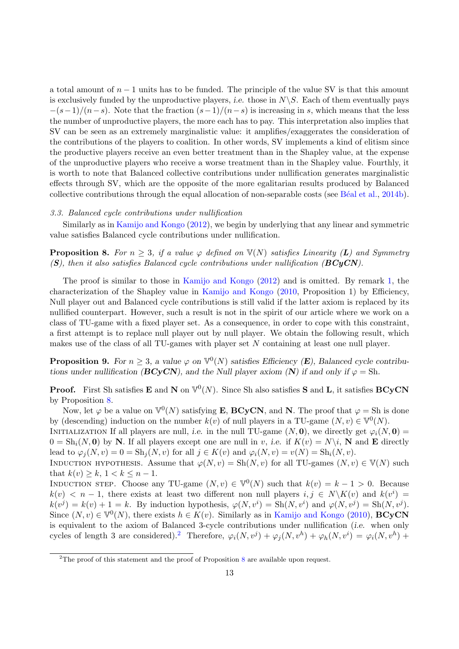a total amount of  $n-1$  units has to be funded. The principle of the value SV is that this amount is exclusively funded by the unproductive players, *i.e.* those in  $N\backslash S$ . Each of them eventually pays  $-(s-1)/(n-s)$ . Note that the fraction  $(s-1)/(n-s)$  is increasing in s, which means that the less the number of unproductive players, the more each has to pay. This interpretation also implies that SV can be seen as an extremely marginalistic value: it amplifies/exaggerates the consideration of the contributions of the players to coalition. In other words, SV implements a kind of elitism since the productive players receive an even better treatment than in the Shapley value, at the expense of the unproductive players who receive a worse treatment than in the Shapley value. Fourthly, it is worth to note that Balanced collective contributions under nullification generates marginalistic effects through SV, which are the opposite of the more egalitarian results produced by Balanced collective contributions through the equal allocation of non-separable costs (see Béal et al., 2014b).

#### 3.3. Balanced cycle contributions under nullification

Similarly as in Kamijo and Kongo (2012), we begin by underlying that any linear and symmetric value satisfies Balanced cycle contributions under nullification.

**Proposition 8.** For  $n > 3$ , if a value  $\varphi$  defined on  $V(N)$  satisfies Linearity (L) and Symmetry (S), then it also satisfies Balanced cycle contributions under nullification ( $BCyCN$ ).

The proof is similar to those in Kamijo and Kongo (2012) and is omitted. By remark 1, the characterization of the Shapley value in Kamijo and Kongo (2010, Proposition 1) by Efficiency, Null player out and Balanced cycle contributions is still valid if the latter axiom is replaced by its nullified counterpart. However, such a result is not in the spirit of our article where we work on a class of TU-game with a fixed player set. As a consequence, in order to cope with this constraint, a first attempt is to replace null player out by null player. We obtain the following result, which makes use of the class of all TU-games with player set N containing at least one null player.

**Proposition 9.** For  $n \geq 3$ , a value  $\varphi$  on  $\mathbb{V}^0(N)$  satisfies Efficiency (**E**), Balanced cycle contributions under nullification (BCyCN), and the Null player axiom (N) if and only if  $\varphi = Sh$ .

**Proof.** First Sh satisfies **E** and **N** on  $\mathbb{V}^0(N)$ . Since Sh also satisfies **S** and **L**, it satisfies **BCyCN** by Proposition 8.

Now, let  $\varphi$  be a value on  $\mathbb{V}^0(N)$  satisfying **E**, **BCyCN**, and **N**. The proof that  $\varphi =$  Sh is done by (descending) induction on the number  $k(v)$  of null players in a TU-game  $(N, v) \in V^0(N)$ .

INITIALIZATION If all players are null, i.e. in the null TU-game  $(N, 0)$ , we directly get  $\varphi_i(N, 0) =$  $0 = Sh_i(N, 0)$  by N. If all players except one are null in v, i.e. if  $K(v) = N\backslash i$ , N and E directly lead to  $\varphi_i(N, v) = 0 = \mathrm{Sh}_i(N, v)$  for all  $j \in K(v)$  and  $\varphi_i(N, v) = v(N) = \mathrm{Sh}_i(N, v)$ .

INDUCTION HYPOTHESIS. Assume that  $\varphi(N, v) = \text{Sh}(N, v)$  for all TU-games  $(N, v) \in V(N)$  such that  $k(v) \geq k, 1 < k \leq n-1$ .

INDUCTION STEP. Choose any TU-game  $(N, v) \in V^0(N)$  such that  $k(v) = k - 1 > 0$ . Because  $k(v) < n-1$ , there exists at least two different non null players  $i, j \in N \setminus K(v)$  and  $k(v^i) =$  $k(v^j) = k(v) + 1 = k$ . By induction hypothesis,  $\varphi(N, v^i) = \text{Sh}(N, v^i)$  and  $\varphi(N, v^j) = \text{Sh}(N, v^j)$ . Since  $(N, v) \in V^0(N)$ , there exists  $h \in K(v)$ . Similarly as in Kamijo and Kongo (2010), **BCyCN** is equivalent to the axiom of Balanced 3-cycle contributions under nullification (i.e. when only cycles of length 3 are considered).<sup>2</sup> Therefore,  $\varphi_i(N, v^j) + \varphi_j(N, v^h) + \varphi_h(N, v^i) = \varphi_i(N, v^h) +$ 

<sup>&</sup>lt;sup>2</sup>The proof of this statement and the proof of Proposition  $8$  are available upon request.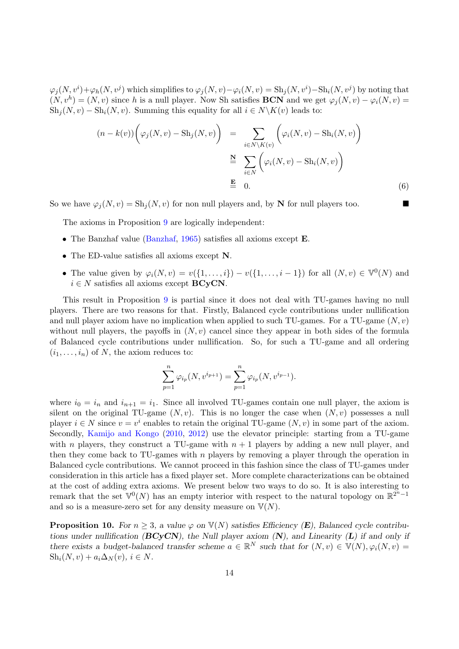$\varphi_j(N, v^i) + \varphi_h(N, v^j)$  which simplifies to  $\varphi_j(N, v) - \varphi_i(N, v) = \text{Sh}_j(N, v^i) - \text{Sh}_i(N, v^j)$  by noting that  $(N, v^h) = (N, v)$  since h is a null player. Now Sh satisfies **BCN** and we get  $\varphi_j(N, v) - \varphi_i(N, v) =$  $\text{Sh}_i(N, v) - \text{Sh}_i(N, v)$ . Summing this equality for all  $i \in N \backslash K(v)$  leads to:

$$
(n - k(v))\left(\varphi_j(N, v) - \text{Sh}_j(N, v)\right) = \sum_{i \in N \setminus K(v)} \left(\varphi_i(N, v) - \text{Sh}_i(N, v)\right)
$$

$$
\stackrel{\mathbf{N}}{=} \sum_{i \in N} \left(\varphi_i(N, v) - \text{Sh}_i(N, v)\right)
$$

$$
\stackrel{\mathbf{E}}{=} 0.
$$
(6)

So we have  $\varphi_j(N, v) = \text{Sh}_j(N, v)$  for non null players and, by N for null players too.

The axioms in Proposition 9 are logically independent:

- The Banzhaf value (Banzhaf, 1965) satisfies all axioms except **E**.
- The ED-value satisfies all axioms except N.
- The value given by  $\varphi_i(N, v) = v(\{1, \ldots, i\}) v(\{1, \ldots, i-1\})$  for all  $(N, v) \in V^0(N)$  and  $i \in N$  satisfies all axioms except **BCyCN**.

This result in Proposition 9 is partial since it does not deal with TU-games having no null players. There are two reasons for that. Firstly, Balanced cycle contributions under nullification and null player axiom have no implication when applied to such TU-games. For a TU-game  $(N, v)$ without null players, the payoffs in  $(N, v)$  cancel since they appear in both sides of the formula of Balanced cycle contributions under nullification. So, for such a TU-game and all ordering  $(i_1, \ldots, i_n)$  of N, the axiom reduces to:

$$
\sum_{p=1}^{n} \varphi_{i_p}(N, v^{i_{p+1}}) = \sum_{p=1}^{n} \varphi_{i_p}(N, v^{i_{p-1}}).
$$

where  $i_0 = i_n$  and  $i_{n+1} = i_1$ . Since all involved TU-games contain one null player, the axiom is silent on the original TU-game  $(N, v)$ . This is no longer the case when  $(N, v)$  possesses a null player  $i \in N$  since  $v = v^i$  enables to retain the original TU-game  $(N, v)$  in some part of the axiom. Secondly, Kamijo and Kongo (2010, 2012) use the elevator principle: starting from a TU-game with n players, they construct a TU-game with  $n + 1$  players by adding a new null player, and then they come back to  $TU$ -games with n players by removing a player through the operation in Balanced cycle contributions. We cannot proceed in this fashion since the class of TU-games under consideration in this article has a fixed player set. More complete characterizations can be obtained at the cost of adding extra axioms. We present below two ways to do so. It is also interesting to remark that the set  $\mathbb{V}^0(N)$  has an empty interior with respect to the natural topology on  $\mathbb{R}^{2^n-1}$ and so is a measure-zero set for any density measure on  $\mathbb{V}(N)$ .

**Proposition 10.** For  $n \geq 3$ , a value  $\varphi$  on  $V(N)$  satisfies Efficiency  $(E)$ , Balanced cycle contributions under nullification ( $BCyCN$ ), the Null player axiom (N), and Linearity (L) if and only if there exists a budget-balanced transfer scheme  $a \in \mathbb{R}^N$  such that for  $(N, v) \in V(N), \varphi_i(N, v) =$  $\text{Sh}_i(N, v) + a_i \Delta_N(v), i \in N$ .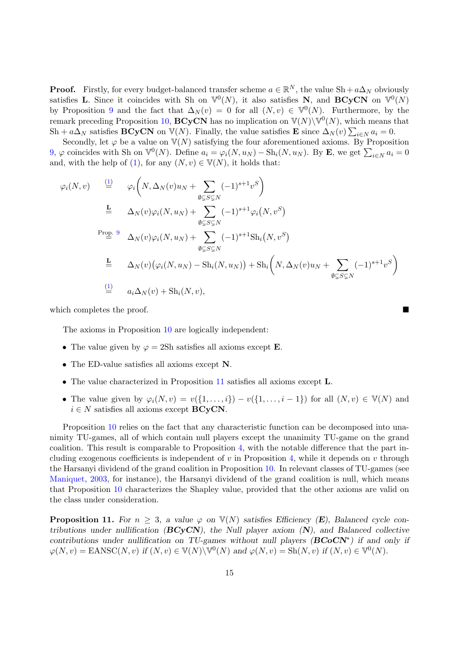**Proof.** Firstly, for every budget-balanced transfer scheme  $a \in \mathbb{R}^N$ , the value Sh +  $a\Delta_N$  obviously satisfies **L**. Since it coincides with Sh on  $\mathbb{V}^0(N)$ , it also satisfies **N**, and **BCyCN** on  $\mathbb{V}^0(N)$ by Proposition 9 and the fact that  $\Delta_N(v) = 0$  for all  $(N, v) \in V^0(N)$ . Furthermore, by the remark preceding Proposition 10, **BCyCN** has no implication on  $\mathbb{V}(N)\backslash\mathbb{V}^0(N)$ , which means that Sh +  $a\Delta_N$  satisfies **BCyCN** on  $\mathbb{V}(N)$ . Finally, the value satisfies **E** since  $\Delta_N(v)\sum_{i\in N}a_i=0$ .

Secondly, let  $\varphi$  be a value on  $\mathbb{V}(N)$  satisfying the four aforementioned axioms. By Proposition 9,  $\varphi$  coincides with Sh on  $\mathbb{V}^0(N)$ . Define  $a_i = \varphi_i(N, u_N)$  – Sh<sub>i</sub>(N, u<sub>N</sub>). By **E**, we get  $\sum_{i \in N} a_i = 0$ and, with the help of (1), for any  $(N, v) \in V(N)$ , it holds that:

$$
\varphi_i(N, v) \stackrel{\text{(1)}}{=} \varphi_i \bigg( N, \Delta_N(v) u_N + \sum_{\emptyset \subsetneq S \subsetneq N} (-1)^{s+1} v^S \bigg)
$$
\n
$$
\stackrel{\text{L}}{=} \Delta_N(v) \varphi_i(N, u_N) + \sum_{\emptyset \subsetneq S \subsetneq N} (-1)^{s+1} \varphi_i(N, v^S)
$$
\n
$$
\stackrel{\text{Prop. 9}}{=} \Delta_N(v) \varphi_i(N, u_N) + \sum_{\emptyset \subsetneq S \subsetneq N} (-1)^{s+1} \text{Sh}_i(N, v^S)
$$
\n
$$
\stackrel{\text{L}}{=} \Delta_N(v) \big( \varphi_i(N, u_N) - \text{Sh}_i(N, u_N) \big) + \text{Sh}_i \big( N, \Delta_N(v) u_N + \sum_{\emptyset \subsetneq S \subsetneq N} (-1)^{s+1} v^S \big)
$$
\n
$$
\stackrel{\text{(1)}}{=} a_i \Delta_N(v) + \text{Sh}_i(N, v),
$$

which completes the proof.

The axioms in Proposition 10 are logically independent:

- The value given by  $\varphi = 2\text{Sh}$  satisfies all axioms except **E**.
- The ED-value satisfies all axioms except N.
- The value characterized in Proposition 11 satisfies all axioms except L.
- The value given by  $\varphi_i(N, v) = v(\{1, \ldots, i\}) v(\{1, \ldots, i-1\})$  for all  $(N, v) \in V(N)$  and  $i \in N$  satisfies all axioms except **BCyCN**.

Proposition 10 relies on the fact that any characteristic function can be decomposed into unanimity TU-games, all of which contain null players except the unanimity TU-game on the grand coalition. This result is comparable to Proposition 4, with the notable difference that the part including exogenous coefficients is independent of v in Proposition 4, while it depends on v through the Harsanyi dividend of the grand coalition in Proposition 10. In relevant classes of TU-games (see Maniquet, 2003, for instance), the Harsanyi dividend of the grand coalition is null, which means that Proposition 10 characterizes the Shapley value, provided that the other axioms are valid on the class under consideration.

**Proposition 11.** For  $n \geq 3$ , a value  $\varphi$  on  $V(N)$  satisfies Efficiency (E), Balanced cycle contributions under nullification ( $\mathbf{BCyCN}$ ), the Null player axiom  $(N)$ , and Balanced collective contributions under nullification on TU-games without null players  $(BCoCN^*)$  if and only if  $\varphi(N, v) =$  EANSC(N, v) if  $(N, v) \in V(N) \setminus V^0(N)$  and  $\varphi(N, v) =$  Sh(N, v) if  $(N, v) \in V^0(N)$ .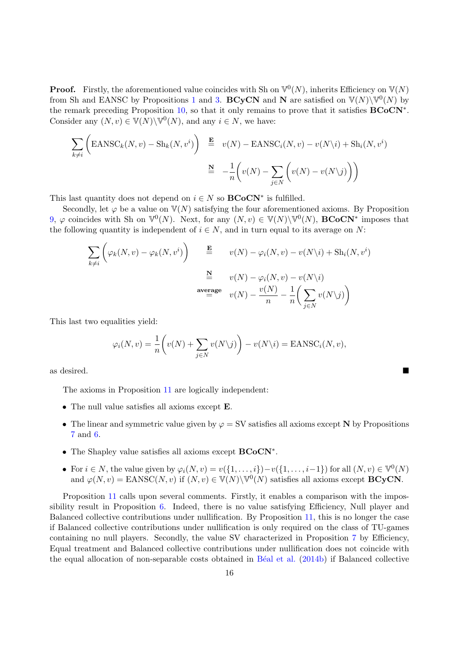**Proof.** Firstly, the aforementioned value coincides with Sh on  $\mathbb{V}^0(N)$ , inherits Efficiency on  $\mathbb{V}(N)$ from Sh and EANSC by Propositions 1 and 3. **BCyCN** and **N** are satisfied on  $\mathbb{V}(N)\backslash\mathbb{V}^0(N)$  by the remark preceding Proposition 10, so that it only remains to prove that it satisfies  $\text{BCoCN}^*$ . Consider any  $(N, v) \in V(N) \setminus V^0(N)$ , and any  $i \in N$ , we have:

$$
\sum_{k \neq i} \left( \text{EANSC}_k(N, v) - \text{Sh}_k(N, v^i) \right) \stackrel{\mathbf{E}}{=} v(N) - \text{EANSC}_i(N, v) - v(N \backslash i) + \text{Sh}_i(N, v^i)
$$

$$
\stackrel{\mathbf{N}}{=} -\frac{1}{n} \left( v(N) - \sum_{j \in N} \left( v(N) - v(N \backslash j) \right) \right)
$$

This last quantity does not depend on  $i \in N$  so **BCoCN**<sup>\*</sup> is fulfilled.

Secondly, let  $\varphi$  be a value on  $\mathbb{V}(N)$  satisfying the four aforementioned axioms. By Proposition 9,  $\varphi$  coincides with Sh on  $\mathbb{V}^0(N)$ . Next, for any  $(N, v) \in \mathbb{V}(N) \setminus \mathbb{V}^0(N)$ , **BCoCN**<sup>\*</sup> imposes that the following quantity is independent of  $i \in N$ , and in turn equal to its average on N:

$$
\sum_{k \neq i} \left( \varphi_k(N, v) - \varphi_k(N, v^i) \right) \qquad \stackrel{\mathbf{E}}{=} \qquad v(N) - \varphi_i(N, v) - v(N \backslash i) + \text{Sh}_i(N, v^i)
$$
\n
$$
\stackrel{\mathbf{N}}{=} \qquad v(N) - \varphi_i(N, v) - v(N \backslash i)
$$
\n
$$
\stackrel{\mathbf{N}}{=} \qquad v(N) - \varphi_i(N, v) - v(N \backslash i)
$$
\n
$$
\stackrel{\mathbf{N}}{=} \qquad v(N) - \frac{v(N)}{n} - \frac{1}{n} \left( \sum_{j \in N} v(N \backslash j) \right)
$$

This last two equalities yield:

$$
\varphi_i(N, v) = \frac{1}{n} \left( v(N) + \sum_{j \in N} v(N \setminus j) \right) - v(N \setminus i) = \text{EANSC}_i(N, v),
$$

as desired.

The axioms in Proposition 11 are logically independent:

- The null value satisfies all axioms except E.
- The linear and symmetric value given by  $\varphi = SV$  satisfies all axioms except N by Propositions 7 and 6.
- The Shapley value satisfies all axioms except BCoCN<sup>∗</sup> .
- For  $i \in N$ , the value given by  $\varphi_i(N, v) = v(\{1, \ldots, i\}) v(\{1, \ldots, i-1\})$  for all  $(N, v) \in \mathbb{V}^0(N)$ and  $\varphi(N, v) =$  EANSC(N, v) if  $(N, v) \in V(N) \setminus V^0(N)$  satisfies all axioms except **BCyCN**.

Proposition 11 calls upon several comments. Firstly, it enables a comparison with the impossibility result in Proposition 6. Indeed, there is no value satisfying Efficiency, Null player and Balanced collective contributions under nullification. By Proposition 11, this is no longer the case if Balanced collective contributions under nullification is only required on the class of TU-games containing no null players. Secondly, the value SV characterized in Proposition 7 by Efficiency, Equal treatment and Balanced collective contributions under nullification does not coincide with the equal allocation of non-separable costs obtained in Béal et al.  $(2014b)$  if Balanced collective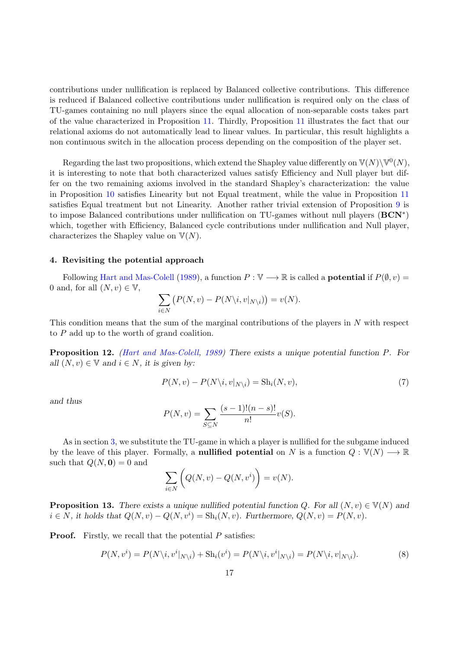contributions under nullification is replaced by Balanced collective contributions. This difference is reduced if Balanced collective contributions under nullification is required only on the class of TU-games containing no null players since the equal allocation of non-separable costs takes part of the value characterized in Proposition 11. Thirdly, Proposition 11 illustrates the fact that our relational axioms do not automatically lead to linear values. In particular, this result highlights a non continuous switch in the allocation process depending on the composition of the player set.

Regarding the last two propositions, which extend the Shapley value differently on  $\mathbb{V}(N)\backslash\mathbb{V}^0(N)$ , it is interesting to note that both characterized values satisfy Efficiency and Null player but differ on the two remaining axioms involved in the standard Shapley's characterization: the value in Proposition 10 satisfies Linearity but not Equal treatment, while the value in Proposition 11 satisfies Equal treatment but not Linearity. Another rather trivial extension of Proposition 9 is to impose Balanced contributions under nullification on TU-games without null players (BCN<sup>∗</sup>) which, together with Efficiency, Balanced cycle contributions under nullification and Null player, characterizes the Shapley value on  $V(N)$ .

#### 4. Revisiting the potential approach

Following Hart and Mas-Colell (1989), a function  $P : \mathbb{V} \longrightarrow \mathbb{R}$  is called a **potential** if  $P(\emptyset, v)$ 0 and, for all  $(N, v) \in \mathbb{V}$ ,

$$
\sum_{i\in N} \left( P(N, v) - P(N\backslash i, v|_{N\backslash i}) \right) = v(N).
$$

This condition means that the sum of the marginal contributions of the players in  $N$  with respect to P add up to the worth of grand coalition.

Proposition 12. (Hart and Mas-Colell, 1989) There exists a unique potential function P. For all  $(N, v) \in \mathbb{V}$  and  $i \in N$ , it is given by:

$$
P(N, v) - P(N\langle i, v|_{N\setminus i}) = \text{Sh}_i(N, v),\tag{7}
$$

and thus

$$
P(N, v) = \sum_{S \subseteq N} \frac{(s-1)!(n-s)!}{n!} v(S).
$$

As in section 3, we substitute the TU-game in which a player is nullified for the subgame induced by the leave of this player. Formally, a **nullified potential** on N is a function  $Q: V(N) \longrightarrow \mathbb{R}$ such that  $Q(N, 0) = 0$  and

$$
\sum_{i \in N} \left( Q(N, v) - Q(N, v^i) \right) = v(N).
$$

**Proposition 13.** There exists a unique nullified potential function Q. For all  $(N, v) \in V(N)$  and  $i \in N$ , it holds that  $Q(N, v) - Q(N, v^i) = Sh_i(N, v)$ . Furthermore,  $Q(N, v) = P(N, v)$ .

**Proof.** Firstly, we recall that the potential  $P$  satisfies:

$$
P(N, v^i) = P(N \setminus i, v^i|_{N \setminus i}) + \text{Sh}_i(v^i) = P(N \setminus i, v^i|_{N \setminus i}) = P(N \setminus i, v|_{N \setminus i}).
$$
\n(8)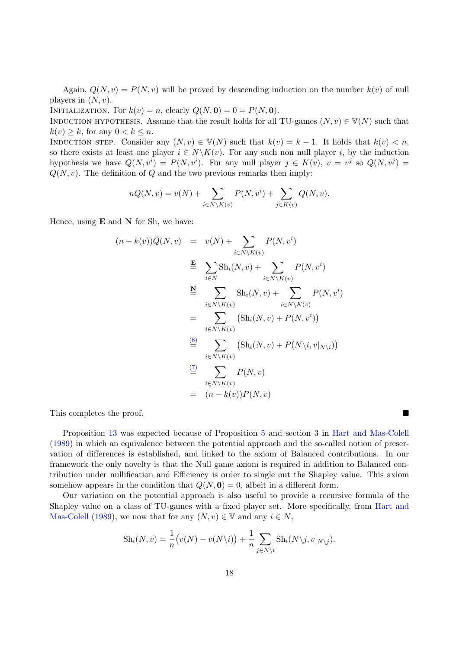Again,  $Q(N, v) = P(N, v)$  will be proved by descending induction on the number  $k(v)$  of null players in  $(N, v)$ .

INITIALIZATION. For  $k(v) = n$ , clearly  $Q(N, 0) = 0 = P(N, 0)$ .

INDUCTION HYPOTHESIS. Assume that the result holds for all TU-games  $(N, v) \in V(N)$  such that  $k(v) \geq k$ , for any  $0 < k \leq n$ .

INDUCTION STEP. Consider any  $(N, v) \in V(N)$  such that  $k(v) = k - 1$ . It holds that  $k(v) < n$ , so there exists at least one player  $i \in N\backslash K(v)$ . For any such non null player i, by the induction hypothesis we have  $Q(N, v^i) = P(N, v^i)$ . For any null player  $j \in K(v)$ ,  $v = v^j$  so  $Q(N, v^j) =$  $Q(N, v)$ . The definition of Q and the two previous remarks then imply:

$$
nQ(N, v) = v(N) + \sum_{i \in N \setminus K(v)} P(N, v^{i}) + \sum_{j \in K(v)} Q(N, v).
$$

Hence, using  $E$  and  $N$  for Sh, we have:

$$
(n - k(v))Q(N, v) = v(N) + \sum_{i \in N \setminus K(v)} P(N, v^{i})
$$
  
\n
$$
\stackrel{\mathbf{E}}{=} \sum_{i \in N} \text{Sh}_{i}(N, v) + \sum_{i \in N \setminus K(v)} P(N, v^{i})
$$
  
\n
$$
\stackrel{\mathbf{N}}{=} \sum_{i \in N \setminus K(v)} \text{Sh}_{i}(N, v) + \sum_{i \in N \setminus K(v)} P(N, v^{i})
$$
  
\n
$$
= \sum_{i \in N \setminus K(v)} (\text{Sh}_{i}(N, v) + P(N, v^{i}))
$$
  
\n
$$
\stackrel{\text{(8)}}{=} \sum_{i \in N \setminus K(v)} (\text{Sh}_{i}(N, v) + P(N \setminus i, v|_{N \setminus i}))
$$
  
\n
$$
\stackrel{\text{(7)}}{=} \sum_{i \in N \setminus K(v)} P(N, v)
$$
  
\n
$$
= (n - k(v))P(N, v)
$$

This completes the proof.

Proposition 13 was expected because of Proposition 5 and section 3 in Hart and Mas-Colell (1989) in which an equivalence between the potential approach and the so-called notion of preservation of differences is established, and linked to the axiom of Balanced contributions. In our framework the only novelty is that the Null game axiom is required in addition to Balanced contribution under nullification and Efficiency is order to single out the Shapley value. This axiom somehow appears in the condition that  $Q(N, 0) = 0$ , albeit in a different form.

Our variation on the potential approach is also useful to provide a recursive formula of the Shapley value on a class of TU-games with a fixed player set. More specifically, from Hart and Mas-Colell (1989), we now that for any  $(N, v) \in V$  and any  $i \in N$ ,

$$
Sh_i(N, v) = \frac{1}{n} \big( v(N) - v(N \setminus i) \big) + \frac{1}{n} \sum_{j \in N \setminus i} Sh_i(N \setminus j, v|_{N \setminus j}).
$$